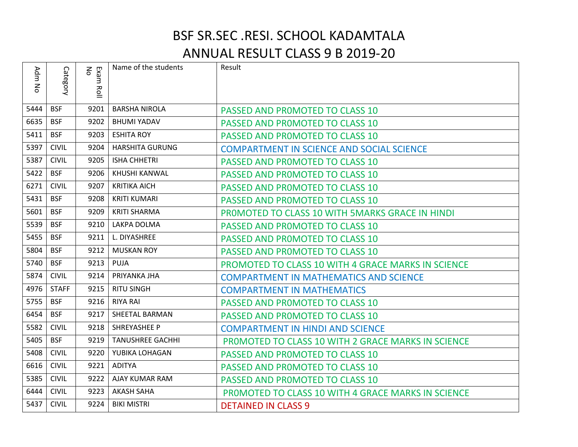## BSF SR.SEC .RESI. SCHOOL KADAMTALA ANNUAL RESULT CLASS 9 B 2019-20

| Adm<br>ξ | Category     | Exam<br>No<br>증 | Name of the students    | Result                                                    |
|----------|--------------|-----------------|-------------------------|-----------------------------------------------------------|
| 5444     | <b>BSF</b>   | 9201            | <b>BARSHA NIROLA</b>    | PASSED AND PROMOTED TO CLASS 10                           |
| 6635     | <b>BSF</b>   | 9202            | <b>BHUMI YADAV</b>      | PASSED AND PROMOTED TO CLASS 10                           |
| 5411     | <b>BSF</b>   | 9203            | <b>ESHITA ROY</b>       | PASSED AND PROMOTED TO CLASS 10                           |
| 5397     | <b>CIVIL</b> | 9204            | <b>HARSHITA GURUNG</b>  | <b>COMPARTMENT IN SCIENCE AND SOCIAL SCIENCE</b>          |
| 5387     | <b>CIVIL</b> | 9205            | <b>ISHA CHHETRI</b>     | PASSED AND PROMOTED TO CLASS 10                           |
| 5422     | <b>BSF</b>   | 9206            | KHUSHI KANWAL           | PASSED AND PROMOTED TO CLASS 10                           |
| 6271     | <b>CIVIL</b> | 9207            | <b>KRITIKA AICH</b>     | PASSED AND PROMOTED TO CLASS 10                           |
| 5431     | <b>BSF</b>   | 9208            | <b>KRITI KUMARI</b>     | PASSED AND PROMOTED TO CLASS 10                           |
| 5601     | <b>BSF</b>   | 9209            | <b>KRITI SHARMA</b>     | PROMOTED TO CLASS 10 WITH 5MARKS GRACE IN HINDI           |
| 5539     | <b>BSF</b>   | 9210            | LAKPA DOLMA             | PASSED AND PROMOTED TO CLASS 10                           |
| 5455     | <b>BSF</b>   | 9211            | L. DIYASHREE            | PASSED AND PROMOTED TO CLASS 10                           |
| 5804     | <b>BSF</b>   | 9212            | <b>MUSKAN ROY</b>       | PASSED AND PROMOTED TO CLASS 10                           |
| 5740     | <b>BSF</b>   | 9213            | <b>PUJA</b>             | <b>PROMOTED TO CLASS 10 WITH 4 GRACE MARKS IN SCIENCE</b> |
| 5874     | <b>CIVIL</b> | 9214            | PRIYANKA JHA            | <b>COMPARTMENT IN MATHEMATICS AND SCIENCE</b>             |
| 4976     | <b>STAFF</b> | 9215            | <b>RITU SINGH</b>       | <b>COMPARTMENT IN MATHEMATICS</b>                         |
| 5755     | <b>BSF</b>   | 9216            | <b>RIYA RAI</b>         | PASSED AND PROMOTED TO CLASS 10                           |
| 6454     | <b>BSF</b>   | 9217            | <b>SHEETAL BARMAN</b>   | PASSED AND PROMOTED TO CLASS 10                           |
| 5582     | <b>CIVIL</b> | 9218            | SHREYASHEE P            | <b>COMPARTMENT IN HINDI AND SCIENCE</b>                   |
| 5405     | <b>BSF</b>   | 9219            | <b>TANUSHREE GACHHI</b> | PROMOTED TO CLASS 10 WITH 2 GRACE MARKS IN SCIENCE        |
| 5408     | <b>CIVIL</b> | 9220            | YUBIKA LOHAGAN          | PASSED AND PROMOTED TO CLASS 10                           |
| 6616     | <b>CIVIL</b> | 9221            | <b>ADITYA</b>           | PASSED AND PROMOTED TO CLASS 10                           |
| 5385     | <b>CIVIL</b> | 9222            | AJAY KUMAR RAM          | PASSED AND PROMOTED TO CLASS 10                           |
| 6444     | <b>CIVIL</b> | 9223            | <b>AKASH SAHA</b>       | PROMOTED TO CLASS 10 WITH 4 GRACE MARKS IN SCIENCE        |
| 5437     | <b>CIVIL</b> | 9224            | <b>BIKI MISTRI</b>      | <b>DETAINED IN CLASS 9</b>                                |